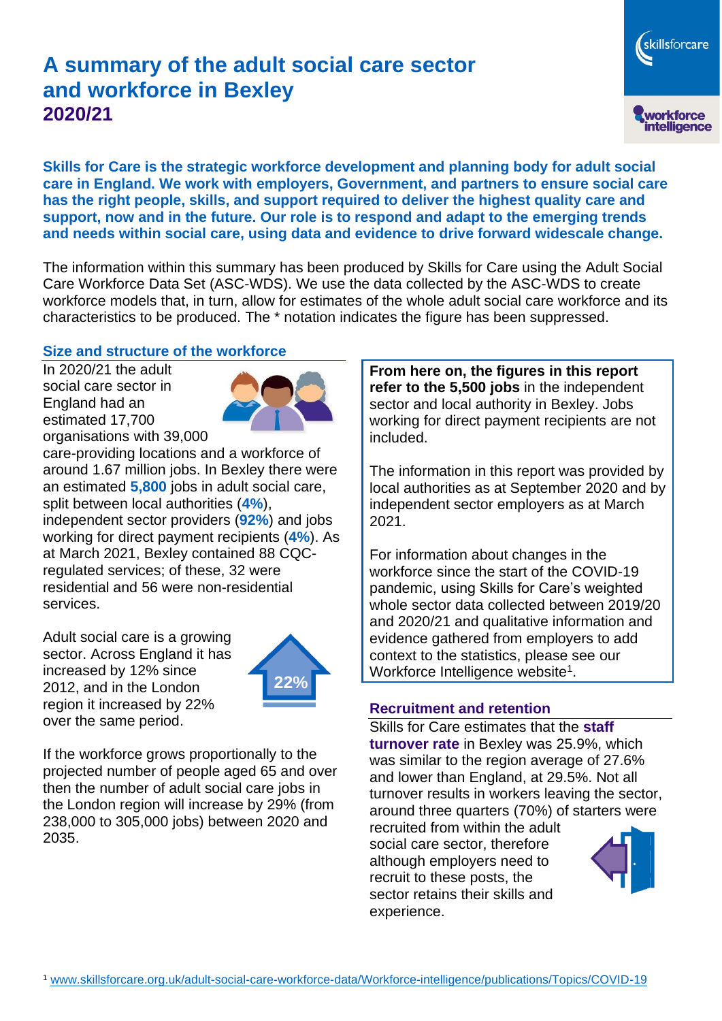# **A summary of the adult social care sector and workforce in Bexley 2020/21**

skillsforcare workforce<br>intelligence

**Skills for Care is the strategic workforce development and planning body for adult social care in England. We work with employers, Government, and partners to ensure social care has the right people, skills, and support required to deliver the highest quality care and support, now and in the future. Our role is to respond and adapt to the emerging trends and needs within social care, using data and evidence to drive forward widescale change.**

The information within this summary has been produced by Skills for Care using the Adult Social Care Workforce Data Set (ASC-WDS). We use the data collected by the ASC-WDS to create workforce models that, in turn, allow for estimates of the whole adult social care workforce and its characteristics to be produced. The \* notation indicates the figure has been suppressed.

#### **Size and structure of the workforce**

In 2020/21 the adult social care sector in England had an estimated 17,700 organisations with 39,000



care-providing locations and a workforce of around 1.67 million jobs. In Bexley there were an estimated **5,800** jobs in adult social care, split between local authorities (**4%**), independent sector providers (**92%**) and jobs working for direct payment recipients (**4%**). As at March 2021, Bexley contained 88 CQCregulated services; of these, 32 were residential and 56 were non-residential services.

Adult social care is a growing sector. Across England it has increased by 12% since 2012, and in the London region it increased by 22% over the same period.



If the workforce grows proportionally to the projected number of people aged 65 and over then the number of adult social care jobs in the London region will increase by 29% (from 238,000 to 305,000 jobs) between 2020 and 2035.

**From here on, the figures in this report refer to the 5,500 jobs** in the independent sector and local authority in Bexley. Jobs working for direct payment recipients are not included.

The information in this report was provided by local authorities as at September 2020 and by independent sector employers as at March 2021.

For information about changes in the workforce since the start of the COVID-19 pandemic, using Skills for Care's weighted whole sector data collected between 2019/20 and 2020/21 and qualitative information and evidence gathered from employers to add context to the statistics, please see our Workforce Intelligence website<sup>1</sup>.

#### **Recruitment and retention**

Skills for Care estimates that the **staff turnover rate** in Bexley was 25.9%, which was similar to the region average of 27.6% and lower than England, at 29.5%. Not all turnover results in workers leaving the sector, around three quarters (70%) of starters were

recruited from within the adult social care sector, therefore although employers need to recruit to these posts, the sector retains their skills and experience.

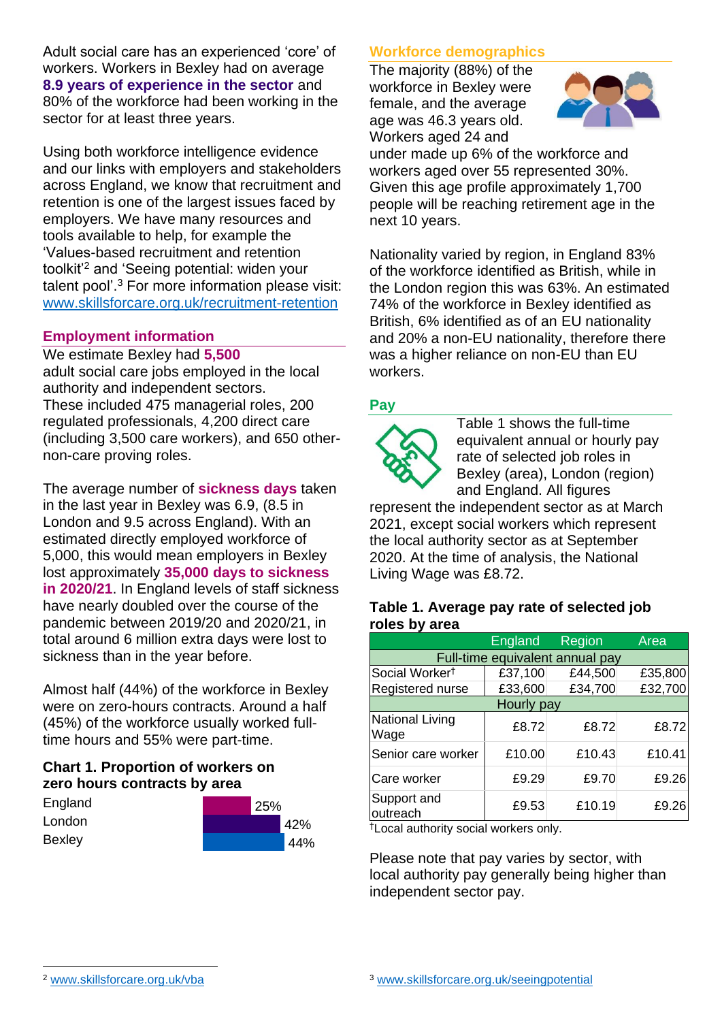Adult social care has an experienced 'core' of workers. Workers in Bexley had on average **8.9 years of experience in the sector** and 80% of the workforce had been working in the sector for at least three years.

Using both workforce intelligence evidence and our links with employers and stakeholders across England, we know that recruitment and retention is one of the largest issues faced by employers. We have many resources and tools available to help, for example the 'Values-based recruitment and retention toolkit'<sup>2</sup> and 'Seeing potential: widen your talent pool'. <sup>3</sup> For more information please visit: [www.skillsforcare.org.uk/recruitment-retention](http://www.skillsforcare.org.uk/recruitment-retention)

### **Employment information**

We estimate Bexley had **5,500** adult social care jobs employed in the local authority and independent sectors. These included 475 managerial roles, 200 regulated professionals, 4,200 direct care (including 3,500 care workers), and 650 othernon-care proving roles.

The average number of **sickness days** taken in the last year in Bexley was 6.9, (8.5 in London and 9.5 across England). With an estimated directly employed workforce of 5,000, this would mean employers in Bexley lost approximately **35,000 days to sickness in 2020/21**. In England levels of staff sickness have nearly doubled over the course of the pandemic between 2019/20 and 2020/21, in total around 6 million extra days were lost to sickness than in the year before.

Almost half (44%) of the workforce in Bexley were on zero-hours contracts. Around a half (45%) of the workforce usually worked fulltime hours and 55% were part-time.

### **Chart 1. Proportion of workers on zero hours contracts by area**

| England       | 25% |     |
|---------------|-----|-----|
| London        |     | 42% |
| <b>Bexley</b> |     | 44% |

## **Workforce demographics**

The majority (88%) of the workforce in Bexley were female, and the average age was 46.3 years old. Workers aged 24 and



under made up 6% of the workforce and workers aged over 55 represented 30%. Given this age profile approximately 1,700 people will be reaching retirement age in the next 10 years.

Nationality varied by region, in England 83% of the workforce identified as British, while in the London region this was 63%. An estimated 74% of the workforce in Bexley identified as British, 6% identified as of an EU nationality and 20% a non-EU nationality, therefore there was a higher reliance on non-EU than EU workers.

### **Pay**



Table 1 shows the full-time equivalent annual or hourly pay rate of selected job roles in Bexley (area), London (region) and England. All figures

represent the independent sector as at March 2021, except social workers which represent the local authority sector as at September 2020. At the time of analysis, the National Living Wage was £8.72.

#### **Table 1. Average pay rate of selected job roles by area**

|                                 | <b>England</b> | Region  | Area    |  |  |
|---------------------------------|----------------|---------|---------|--|--|
| Full-time equivalent annual pay |                |         |         |  |  |
| Social Worker <sup>t</sup>      | £37,100        | £44,500 | £35,800 |  |  |
| Registered nurse                | £33,600        | £34,700 | £32,700 |  |  |
| Hourly pay                      |                |         |         |  |  |
| National Living<br>Wage         | £8.72          | £8.72   | £8.72   |  |  |
| Senior care worker              | £10.00         | £10.43  | £10.41  |  |  |
| Care worker                     | £9.29          | £9.70   | £9.26   |  |  |
| Support and<br>outreach         | £9.53          | £10.19  | £9.26   |  |  |

†Local authority social workers only.

Please note that pay varies by sector, with local authority pay generally being higher than independent sector pay.